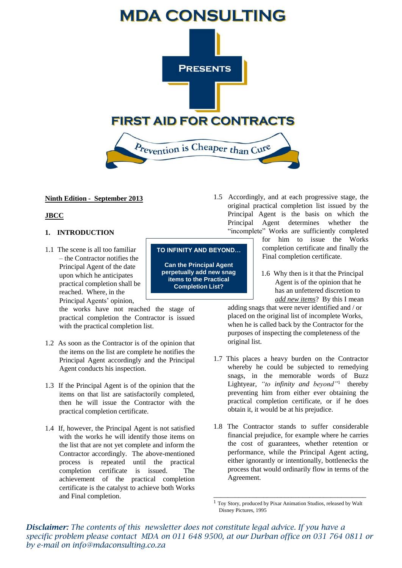

## **Ninth Edition - September 2013**

# **JBCC**

## **1. INTRODUCTION**

1.1 The scene is all too familiar – the Contractor notifies the Principal Agent of the date upon which he anticipates practical completion shall be reached. Where, in the Principal Agents' opinion,

> the works have not reached the stage of practical completion the Contractor is issued with the practical completion list.

- 1.2 As soon as the Contractor is of the opinion that the items on the list are complete he notifies the Principal Agent accordingly and the Principal Agent conducts his inspection.
- 1.3 If the Principal Agent is of the opinion that the items on that list are satisfactorily completed, then he will issue the Contractor with the practical completion certificate.
- 1.4 If, however, the Principal Agent is not satisfied with the works he will identify those items on the list that are not yet complete and inform the Contractor accordingly. The above-mentioned process is repeated until the practical completion certificate is issued. The achievement of the practical completion certificate is the catalyst to achieve both Works and Final completion.

#### **TO INFINITY AND BEYOND…**

**Can the Principal Agent perpetually add new snag items to the Practical Completion List?**

1.5 Accordingly, and at each progressive stage, the original practical completion list issued by the Principal Agent is the basis on which the Principal Agent determines whether the "incomplete" Works are sufficiently completed

for him to issue the Works completion certificate and finally the Final completion certificate.

1.6 Why then is it that the Principal Agent is of the opinion that he has an unfettered discretion to  *add new items*? By this I mean

adding snags that were never identified and / or placed on the original list of incomplete Works, when he is called back by the Contractor for the purposes of inspecting the completeness of the original list.

- 1.7 This places a heavy burden on the Contractor whereby he could be subjected to remedying snags, in the memorable words of Buzz Lightyear, *"to infinity and beyond"*<sup>1</sup> thereby preventing him from either ever obtaining the practical completion certificate, or if he does obtain it, it would be at his prejudice.
- 1.8 The Contractor stands to suffer considerable financial prejudice, for example where he carries the cost of guarantees, whether retention or performance, while the Principal Agent acting, either ignorantly or intentionally, bottlenecks the process that would ordinarily flow in terms of the Agreement.

*Disclaimer: The contents of this newsletter does not constitute legal advice. If you have a specific problem please contact MDA on 011 648 9500, at our Durban office on 031 764 0811 or by e-mail on info@mdaconsulting.co.za* 

\_\_\_\_\_\_\_\_\_\_\_\_\_\_\_\_\_\_\_\_\_\_\_\_\_\_\_\_\_\_\_\_\_\_\_\_\_\_\_\_\_\_\_ <sup>1</sup> Toy Story, produced by Pixar Animation Studios, released by Walt Disney Pictures, 1995